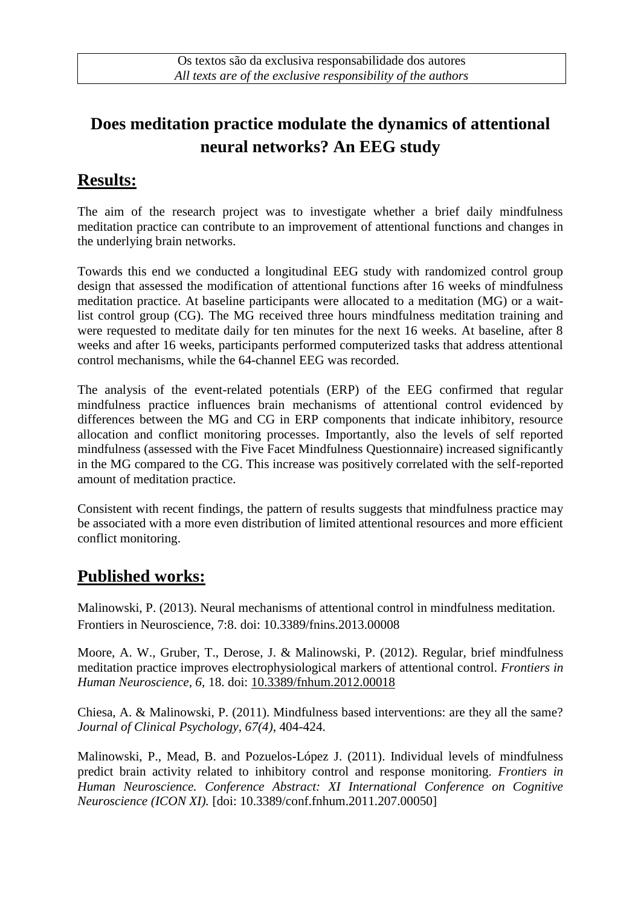# **Does meditation practice modulate the dynamics of attentional neural networks? An EEG study**

### **Results:**

The aim of the research project was to investigate whether a brief daily mindfulness meditation practice can contribute to an improvement of attentional functions and changes in the underlying brain networks.

Towards this end we conducted a longitudinal EEG study with randomized control group design that assessed the modification of attentional functions after 16 weeks of mindfulness meditation practice. At baseline participants were allocated to a meditation (MG) or a waitlist control group (CG). The MG received three hours mindfulness meditation training and were requested to meditate daily for ten minutes for the next 16 weeks. At baseline, after 8 weeks and after 16 weeks, participants performed computerized tasks that address attentional control mechanisms, while the 64-channel EEG was recorded.

The analysis of the event-related potentials (ERP) of the EEG confirmed that regular mindfulness practice influences brain mechanisms of attentional control evidenced by differences between the MG and CG in ERP components that indicate inhibitory, resource allocation and conflict monitoring processes. Importantly, also the levels of self reported mindfulness (assessed with the Five Facet Mindfulness Questionnaire) increased significantly in the MG compared to the CG. This increase was positively correlated with the self-reported amount of meditation practice.

Consistent with recent findings, the pattern of results suggests that mindfulness practice may be associated with a more even distribution of limited attentional resources and more efficient conflict monitoring.

## **Published works:**

Malinowski, P. (2013). Neural mechanisms of attentional control in mindfulness meditation. Frontiers in Neuroscience, 7:8. doi: 10.3389/fnins.2013.00008

Moore, A. W., Gruber, T., Derose, J. & Malinowski, P. (2012). Regular, brief mindfulness meditation practice improves electrophysiological markers of attentional control. *Frontiers in Human Neuroscience, 6,* 18. doi: [10.3389/fnhum.2012.00018](http://www.frontiersin.org/Human_Neuroscience/10.3389/fnhum.2012.00018/abstract)

Chiesa, A. & Malinowski, P. (2011). Mindfulness based interventions: are they all the same? *Journal of Clinical Psychology, 67(4)*, 404-424.

Malinowski, P., Mead, B. and Pozuelos-López J. (2011). Individual levels of mindfulness predict brain activity related to inhibitory control and response monitoring. *Frontiers in Human Neuroscience. Conference Abstract: XI International Conference on Cognitive Neuroscience (ICON XI).* [doi: 10.3389/conf.fnhum.2011.207.00050]